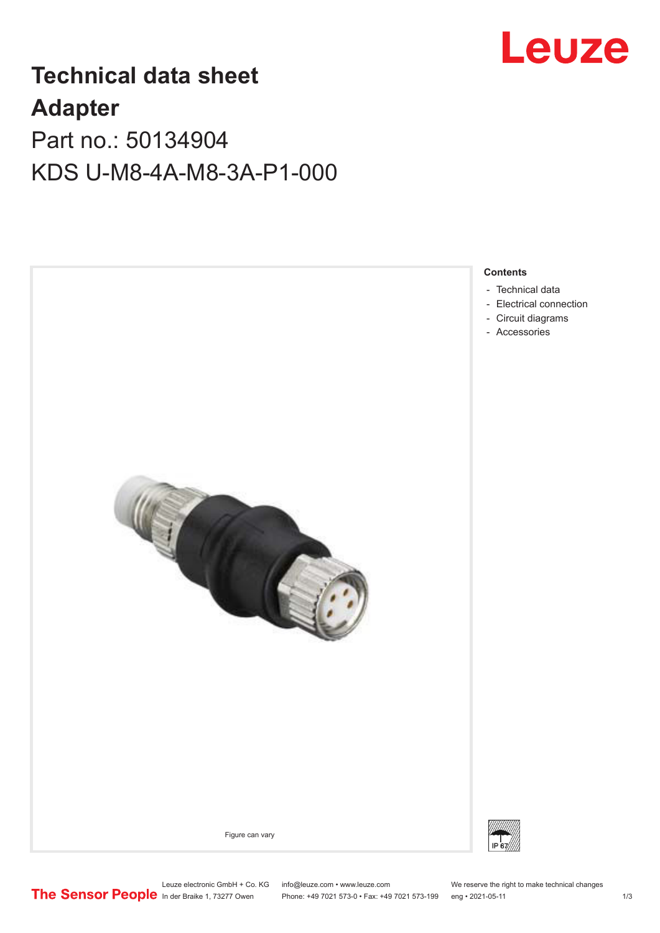

## **Technical data sheet Adapter**

Part no.: 50134904 KDS U-M8-4A-M8-3A-P1-000



Phone: +49 7021 573-0 • Fax: +49 7021 573-199 eng • 2021-05-11 1 2021-05-11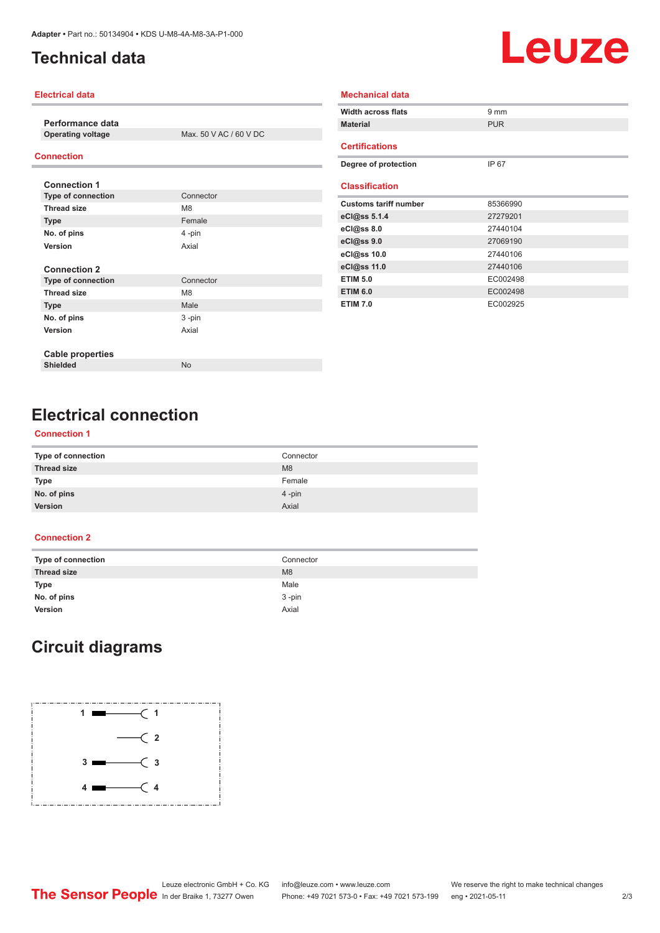## <span id="page-1-0"></span>**Technical data**

# Leuze

#### **Electrical data**

**Performance data**

**Max. 50 V AC / 60 V DC** 

#### **Connection**

| <b>Connection 1</b>       |                |
|---------------------------|----------------|
| <b>Type of connection</b> | Connector      |
| <b>Thread size</b>        | M <sub>8</sub> |
| <b>Type</b>               | Female         |
| No. of pins               | 4-pin          |
| Version                   | Axial          |
|                           |                |
| <b>Connection 2</b>       |                |
| <b>Type of connection</b> | Connector      |
| <b>Thread size</b>        | M <sub>8</sub> |
| <b>Type</b>               | Male           |
| No. of pins               | 3-pin          |
| Version                   | Axial          |
|                           |                |
| <b>Cable properties</b>   |                |
| <b>Shielded</b>           | <b>No</b>      |

| <b>Width across flats</b>    | $9 \text{ mm}$ |
|------------------------------|----------------|
| <b>Material</b>              | <b>PUR</b>     |
| <b>Certifications</b>        |                |
| Degree of protection         | IP 67          |
|                              |                |
| <b>Classification</b>        |                |
| <b>Customs tariff number</b> | 85366990       |
| eCl@ss 5.1.4                 | 27279201       |
| $eC/\omega$ ss 8.0           | 27440104       |
| eCl@ss 9.0                   | 27069190       |
| eCl@ss 10.0                  | 27440106       |
| eCl@ss 11.0                  | 27440106       |
| <b>ETIM 5.0</b>              | EC002498       |
| <b>ETIM 6.0</b>              | EC002498       |
| <b>ETIM 7.0</b>              | EC002925       |

**Mechanical data**

## **Electrical connection**

#### **Connection 1**

| Type of connection | Connector      |
|--------------------|----------------|
| <b>Thread size</b> | M <sub>8</sub> |
| Type               | Female         |
| No. of pins        | $4$ -pin       |
| Version            | Axial          |
|                    |                |

#### **Connection 2**

| Type of connection | Connector      |
|--------------------|----------------|
| <b>Thread size</b> | M <sub>8</sub> |
| Type               | Male           |
| No. of pins        | $3 - pin$      |
| Version            | Axial          |

## **Circuit diagrams**